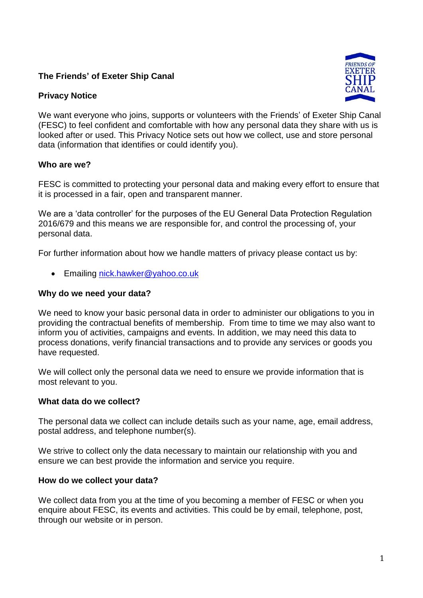# **The Friends' of Exeter Ship Canal**

# **Privacy Notice**



We want everyone who joins, supports or volunteers with the Friends' of Exeter Ship Canal (FESC) to feel confident and comfortable with how any personal data they share with us is looked after or used. This Privacy Notice sets out how we collect, use and store personal data (information that identifies or could identify you).

## **Who are we?**

FESC is committed to protecting your personal data and making every effort to ensure that it is processed in a fair, open and transparent manner.

We are a 'data controller' for the purposes of the EU General Data Protection Regulation 2016/679 and this means we are responsible for, and control the processing of, your personal data.

For further information about how we handle matters of privacy please contact us by:

• Emailing [nick.hawker@yahoo.co.uk](mailto:nick.hawker@yahoo.co.uk)

## **Why do we need your data?**

We need to know your basic personal data in order to administer our obligations to you in providing the contractual benefits of membership. From time to time we may also want to inform you of activities, campaigns and events. In addition, we may need this data to process donations, verify financial transactions and to provide any services or goods you have requested.

We will collect only the personal data we need to ensure we provide information that is most relevant to you.

### **What data do we collect?**

The personal data we collect can include details such as your name, age, email address, postal address, and telephone number(s).

We strive to collect only the data necessary to maintain our relationship with you and ensure we can best provide the information and service you require.

### **How do we collect your data?**

We collect data from you at the time of you becoming a member of FESC or when you enquire about FESC, its events and activities. This could be by email, telephone, post, through our website or in person.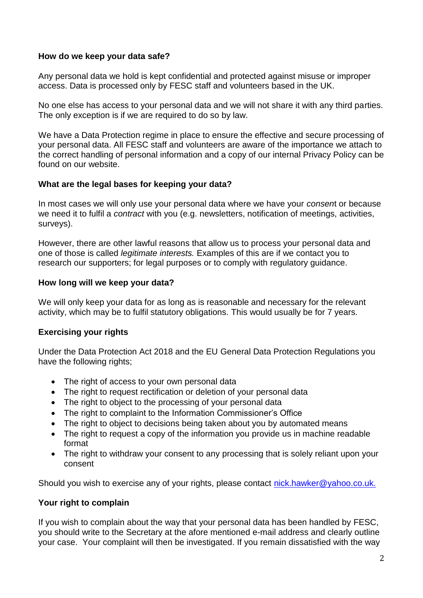## **How do we keep your data safe?**

Any personal data we hold is kept confidential and protected against misuse or improper access. Data is processed only by FESC staff and volunteers based in the UK.

No one else has access to your personal data and we will not share it with any third parties. The only exception is if we are required to do so by law.

We have a Data Protection regime in place to ensure the effective and secure processing of your personal data. All FESC staff and volunteers are aware of the importance we attach to the correct handling of personal information and a copy of our internal Privacy Policy can be found on our website.

## **What are the legal bases for keeping your data?**

In most cases we will only use your personal data where we have your *consen*t or because we need it to fulfil a *contract* with you (e.g. newsletters, notification of meetings, activities, surveys).

However, there are other lawful reasons that allow us to process your personal data and one of those is called *legitimate interests.* Examples of this are if we contact you to research our supporters; for legal purposes or to comply with regulatory guidance.

## **How long will we keep your data?**

We will only keep your data for as long as is reasonable and necessary for the relevant activity, which may be to fulfil statutory obligations. This would usually be for 7 years.

# **Exercising your rights**

Under the Data Protection Act 2018 and the EU General Data Protection Regulations you have the following rights;

- The right of access to your own personal data
- The right to request rectification or deletion of your personal data
- The right to object to the processing of your personal data
- The right to complaint to the Information Commissioner's Office
- The right to object to decisions being taken about you by automated means
- The right to request a copy of the information you provide us in machine readable format
- The right to withdraw your consent to any processing that is solely reliant upon your consent

Should you wish to exercise any of your rights, please contact nick.hawker@yahoo.co.uk.

# **Your right to complain**

If you wish to complain about the way that your personal data has been handled by FESC, you should write to the Secretary at the afore mentioned e-mail address and clearly outline your case. Your complaint will then be investigated. If you remain dissatisfied with the way